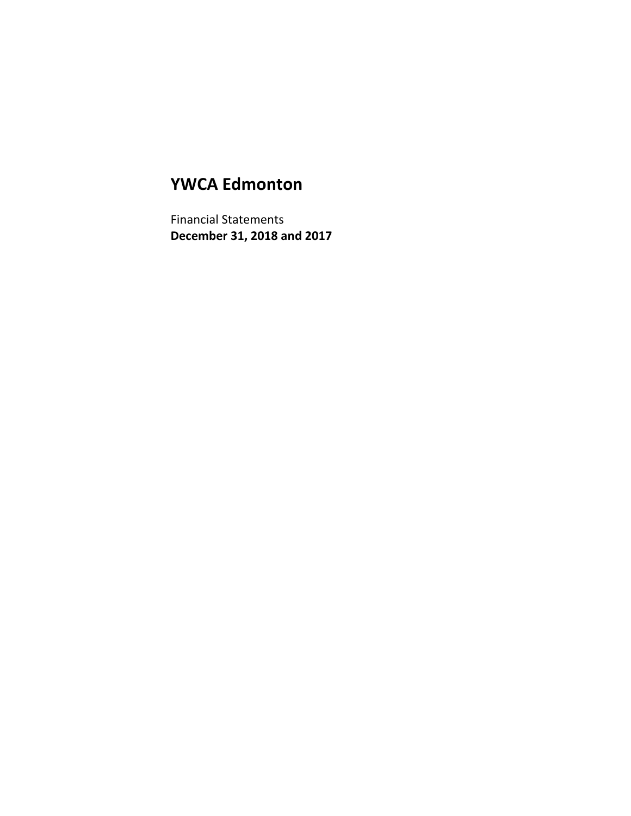Financial Statements **December 31, 2018 and 2017**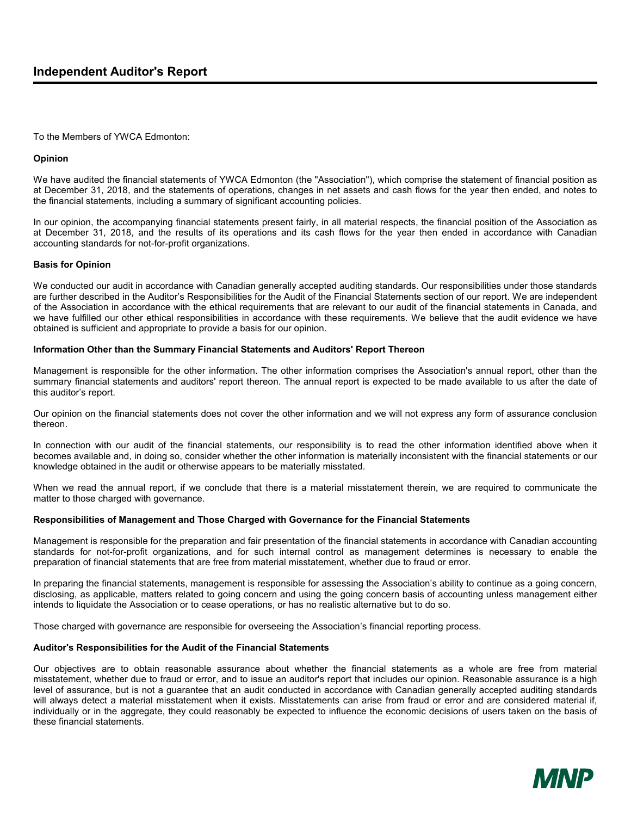To the Members of YWCA Edmonton:

#### **Opinion**

We have audited the financial statements of YWCA Edmonton (the "Association"), which comprise the statement of financial position as at December 31, 2018, and the statements of operations, changes in net assets and cash flows for the year then ended, and notes to the financial statements, including a summary of significant accounting policies.

In our opinion, the accompanying financial statements present fairly, in all material respects, the financial position of the Association as at December 31, 2018, and the results of its operations and its cash flows for the year then ended in accordance with Canadian accounting standards for not-for-profit organizations.

#### **Basis for Opinion**

We conducted our audit in accordance with Canadian generally accepted auditing standards. Our responsibilities under those standards are further described in the Auditor's Responsibilities for the Audit of the Financial Statements section of our report. We are independent of the Association in accordance with the ethical requirements that are relevant to our audit of the financial statements in Canada, and we have fulfilled our other ethical responsibilities in accordance with these requirements. We believe that the audit evidence we have obtained is sufficient and appropriate to provide a basis for our opinion.

#### **Information Other than the Summary Financial Statements and Auditors' Report Thereon**

Management is responsible for the other information. The other information comprises the Association's annual report, other than the summary financial statements and auditors' report thereon. The annual report is expected to be made available to us after the date of this auditor's report.

Our opinion on the financial statements does not cover the other information and we will not express any form of assurance conclusion thereon.

In connection with our audit of the financial statements, our responsibility is to read the other information identified above when it becomes available and, in doing so, consider whether the other information is materially inconsistent with the financial statements or our knowledge obtained in the audit or otherwise appears to be materially misstated.

When we read the annual report, if we conclude that there is a material misstatement therein, we are required to communicate the matter to those charged with governance.

#### **Responsibilities of Management and Those Charged with Governance for the Financial Statements**

Management is responsible for the preparation and fair presentation of the financial statements in accordance with Canadian accounting standards for not-for-profit organizations, and for such internal control as management determines is necessary to enable the preparation of financial statements that are free from material misstatement, whether due to fraud or error.

In preparing the financial statements, management is responsible for assessing the Association's ability to continue as a going concern, disclosing, as applicable, matters related to going concern and using the going concern basis of accounting unless management either intends to liquidate the Association or to cease operations, or has no realistic alternative but to do so.

Those charged with governance are responsible for overseeing the Association's financial reporting process.

#### **Auditor's Responsibilities for the Audit of the Financial Statements**

Our objectives are to obtain reasonable assurance about whether the financial statements as a whole are free from material misstatement, whether due to fraud or error, and to issue an auditor's report that includes our opinion. Reasonable assurance is a high level of assurance, but is not a guarantee that an audit conducted in accordance with Canadian generally accepted auditing standards will always detect a material misstatement when it exists. Misstatements can arise from fraud or error and are considered material if, individually or in the aggregate, they could reasonably be expected to influence the economic decisions of users taken on the basis of these financial statements.

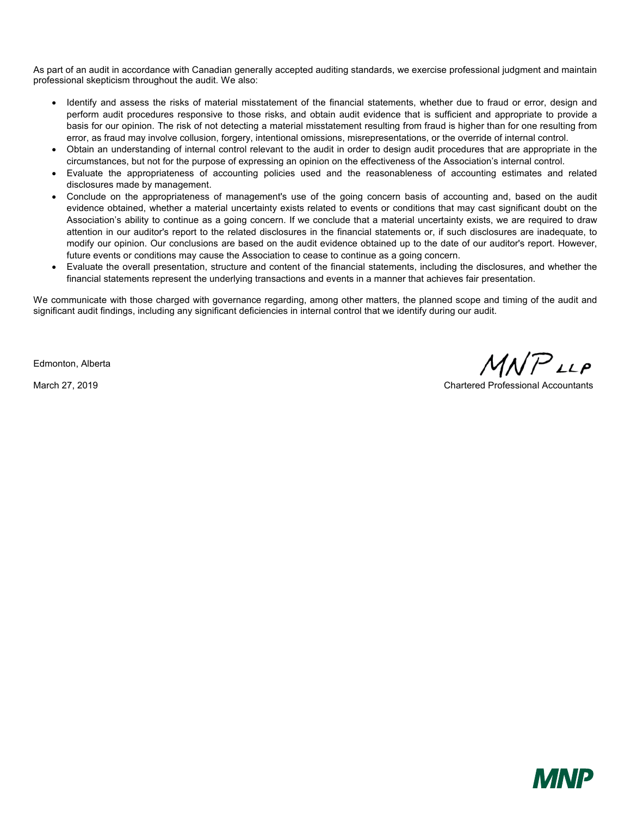As part of an audit in accordance with Canadian generally accepted auditing standards, we exercise professional judgment and maintain professional skepticism throughout the audit. We also:

- Identify and assess the risks of material misstatement of the financial statements, whether due to fraud or error, design and perform audit procedures responsive to those risks, and obtain audit evidence that is sufficient and appropriate to provide a basis for our opinion. The risk of not detecting a material misstatement resulting from fraud is higher than for one resulting from error, as fraud may involve collusion, forgery, intentional omissions, misrepresentations, or the override of internal control.
- Obtain an understanding of internal control relevant to the audit in order to design audit procedures that are appropriate in the circumstances, but not for the purpose of expressing an opinion on the effectiveness of the Association's internal control.
- Evaluate the appropriateness of accounting policies used and the reasonableness of accounting estimates and related disclosures made by management.
- Conclude on the appropriateness of management's use of the going concern basis of accounting and, based on the audit evidence obtained, whether a material uncertainty exists related to events or conditions that may cast significant doubt on the Association's ability to continue as a going concern. If we conclude that a material uncertainty exists, we are required to draw attention in our auditor's report to the related disclosures in the financial statements or, if such disclosures are inadequate, to modify our opinion. Our conclusions are based on the audit evidence obtained up to the date of our auditor's report. However, future events or conditions may cause the Association to cease to continue as a going concern.
- Evaluate the overall presentation, structure and content of the financial statements, including the disclosures, and whether the financial statements represent the underlying transactions and events in a manner that achieves fair presentation.

We communicate with those charged with governance regarding, among other matters, the planned scope and timing of the audit and significant audit findings, including any significant deficiencies in internal control that we identify during our audit.

Edmonton, Alberta

 $MNP$ LLP

March 27, 2019 Chartered Professional Accountants

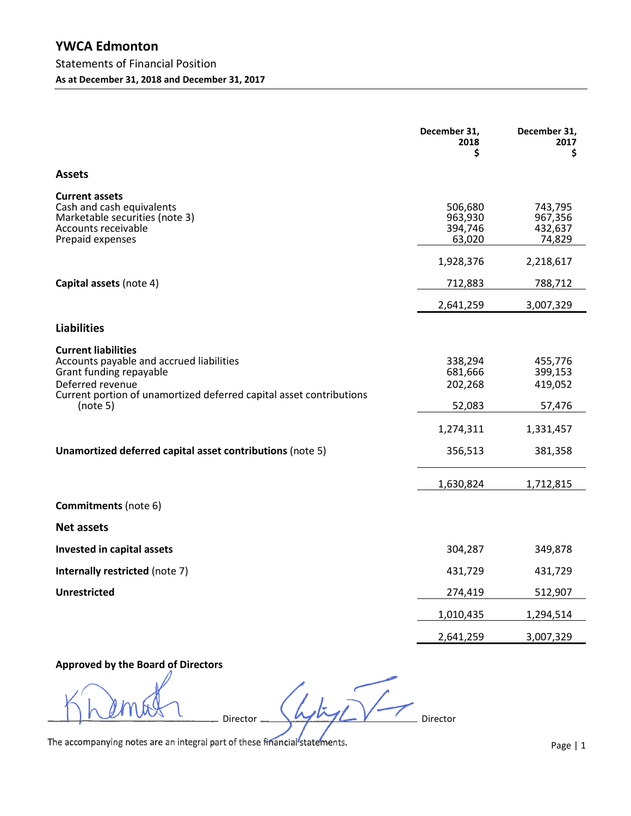|                                                                                                                                                                                                                                                                       | December 31,<br>2018<br>\$                                      | December 31,<br>2017<br>Ś.                                      |
|-----------------------------------------------------------------------------------------------------------------------------------------------------------------------------------------------------------------------------------------------------------------------|-----------------------------------------------------------------|-----------------------------------------------------------------|
| <b>Assets</b>                                                                                                                                                                                                                                                         |                                                                 |                                                                 |
| <b>Current assets</b><br>Cash and cash equivalents<br>Marketable securities (note 3)<br>Accounts receivable<br>Prepaid expenses                                                                                                                                       | 506,680<br>963,930<br>394,746<br>63,020                         | 743,795<br>967,356<br>432,637<br>74,829                         |
|                                                                                                                                                                                                                                                                       | 1,928,376                                                       | 2,218,617                                                       |
| Capital assets (note 4)                                                                                                                                                                                                                                               | 712,883                                                         | 788,712                                                         |
|                                                                                                                                                                                                                                                                       | 2,641,259                                                       | 3,007,329                                                       |
| <b>Liabilities</b>                                                                                                                                                                                                                                                    |                                                                 |                                                                 |
| <b>Current liabilities</b><br>Accounts payable and accrued liabilities<br>Grant funding repayable<br>Deferred revenue<br>Current portion of unamortized deferred capital asset contributions<br>(note 5)<br>Unamortized deferred capital asset contributions (note 5) | 338,294<br>681,666<br>202,268<br>52,083<br>1,274,311<br>356,513 | 455,776<br>399,153<br>419,052<br>57,476<br>1,331,457<br>381,358 |
|                                                                                                                                                                                                                                                                       | 1,630,824                                                       | 1,712,815                                                       |
| <b>Commitments</b> (note 6)                                                                                                                                                                                                                                           |                                                                 |                                                                 |
| <b>Net assets</b>                                                                                                                                                                                                                                                     |                                                                 |                                                                 |
| Invested in capital assets                                                                                                                                                                                                                                            | 304,287                                                         | 349,878                                                         |
| Internally restricted (note 7)                                                                                                                                                                                                                                        | 431,729                                                         | 431,729                                                         |
| <b>Unrestricted</b>                                                                                                                                                                                                                                                   | 274,419                                                         | 512,907                                                         |
|                                                                                                                                                                                                                                                                       | 1,010,435                                                       | 1,294,514                                                       |
|                                                                                                                                                                                                                                                                       | 2,641,259                                                       | 3,007,329                                                       |

**Approved by the Board of Directors** 

 $Director$   $\sqrt{\frac{4\pi}{2}}$  Director

The accompanying notes are an integral part of these financial statements.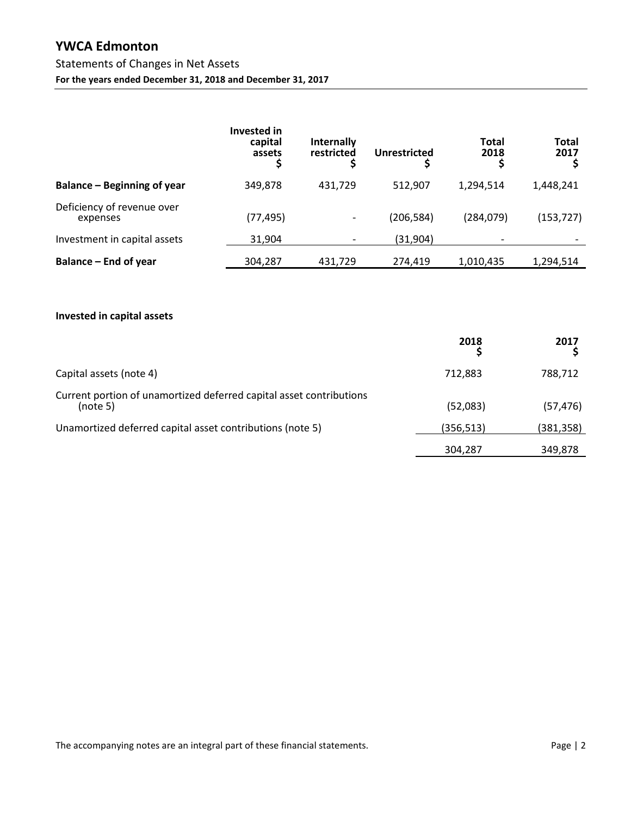## Statements of Changes in Net Assets **For the years ended December 31, 2018 and December 31, 2017**

|                                        | <b>Invested in</b><br>capital<br>assets | Internally<br>restricted | Unrestricted | Total<br>2018 | Total<br>2017 |
|----------------------------------------|-----------------------------------------|--------------------------|--------------|---------------|---------------|
| Balance - Beginning of year            | 349,878                                 | 431,729                  | 512,907      | 1,294,514     | 1,448,241     |
| Deficiency of revenue over<br>expenses | (77, 495)                               |                          | (206, 584)   | (284, 079)    | (153, 727)    |
| Investment in capital assets           | 31,904                                  |                          | (31, 904)    |               |               |
| Balance – End of year                  | 304,287                                 | 431,729                  | 274,419      | 1,010,435     | 1,294,514     |

### **Invested in capital assets**

|                                                                                 | 2018       | 2017      |
|---------------------------------------------------------------------------------|------------|-----------|
| Capital assets (note 4)                                                         | 712,883    | 788,712   |
| Current portion of unamortized deferred capital asset contributions<br>(note 5) | (52,083)   | (57, 476) |
| Unamortized deferred capital asset contributions (note 5)                       | (356, 513) | (381,358) |
|                                                                                 | 304,287    | 349,878   |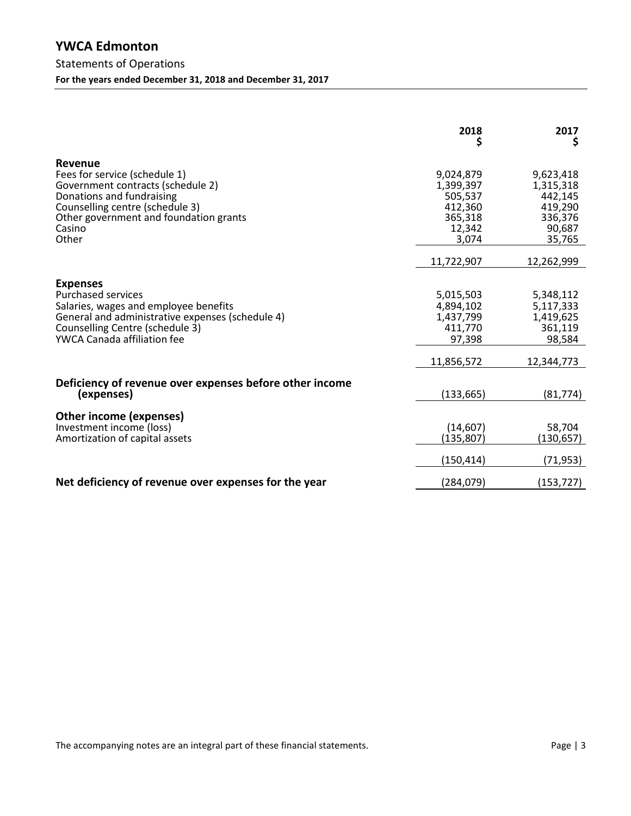|                                                                                                                                                                                                                    | 2018<br>Ş                                                                  | 2017<br>\$                                                                  |
|--------------------------------------------------------------------------------------------------------------------------------------------------------------------------------------------------------------------|----------------------------------------------------------------------------|-----------------------------------------------------------------------------|
| <b>Revenue</b><br>Fees for service (schedule 1)<br>Government contracts (schedule 2)<br>Donations and fundraising<br>Counselling centre (schedule 3)<br>Other government and foundation grants<br>Casino<br>Other  | 9,024,879<br>1,399,397<br>505,537<br>412,360<br>365,318<br>12,342<br>3,074 | 9,623,418<br>1,315,318<br>442,145<br>419,290<br>336,376<br>90,687<br>35,765 |
|                                                                                                                                                                                                                    | 11,722,907                                                                 | 12,262,999                                                                  |
| <b>Expenses</b><br><b>Purchased services</b><br>Salaries, wages and employee benefits<br>General and administrative expenses (schedule 4)<br>Counselling Centre (schedule 3)<br><b>YWCA Canada affiliation fee</b> | 5,015,503<br>4,894,102<br>1,437,799<br>411,770<br>97,398                   | 5,348,112<br>5,117,333<br>1,419,625<br>361,119<br>98,584                    |
|                                                                                                                                                                                                                    | 11,856,572                                                                 | 12,344,773                                                                  |
| Deficiency of revenue over expenses before other income<br>(expenses)                                                                                                                                              | (133, 665)                                                                 | (81, 774)                                                                   |
| <b>Other income (expenses)</b><br>Investment income (loss)<br>Amortization of capital assets                                                                                                                       | (14, 607)<br>(135, 807)<br>(150,414)                                       | 58,704<br>(130, 657)<br>(71,953)                                            |
| Net deficiency of revenue over expenses for the year                                                                                                                                                               | (284,079)                                                                  | (153, 727)                                                                  |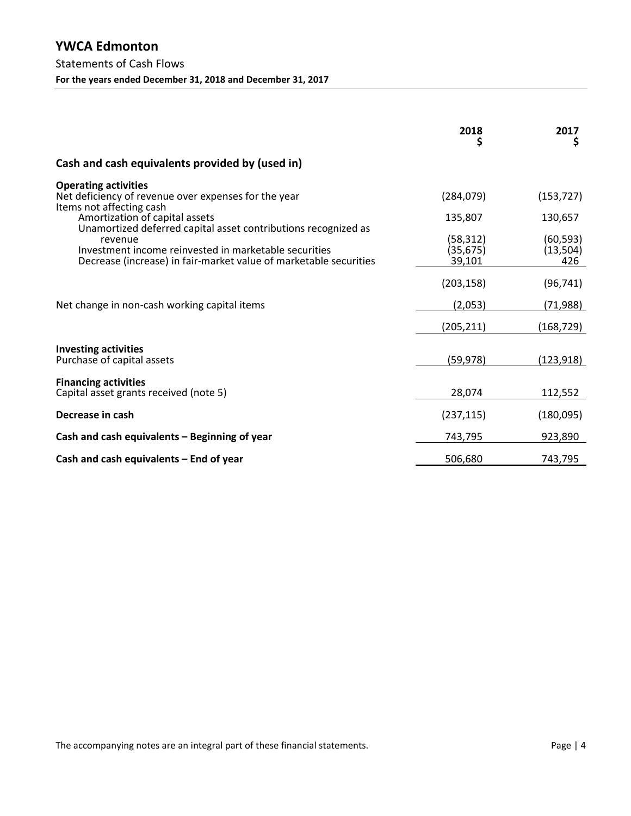|                                                                                                                                                                                                         | 2018<br>Ş                        | 2017<br>\$                    |
|---------------------------------------------------------------------------------------------------------------------------------------------------------------------------------------------------------|----------------------------------|-------------------------------|
| Cash and cash equivalents provided by (used in)                                                                                                                                                         |                                  |                               |
| <b>Operating activities</b><br>Net deficiency of revenue over expenses for the year                                                                                                                     | (284, 079)                       | (153, 727)                    |
| Items not affecting cash<br>Amortization of capital assets                                                                                                                                              | 135,807                          | 130,657                       |
| Unamortized deferred capital asset contributions recognized as<br>revenue<br>Investment income reinvested in marketable securities<br>Decrease (increase) in fair-market value of marketable securities | (58, 312)<br>(35, 675)<br>39,101 | (60, 593)<br>(13, 504)<br>426 |
|                                                                                                                                                                                                         | (203, 158)                       | (96, 741)                     |
| Net change in non-cash working capital items                                                                                                                                                            | (2,053)                          | (71, 988)                     |
|                                                                                                                                                                                                         | (205,211)                        | (168,729)                     |
| <b>Investing activities</b><br>Purchase of capital assets                                                                                                                                               | (59, 978)                        | (123, 918)                    |
| <b>Financing activities</b>                                                                                                                                                                             |                                  |                               |
| Capital asset grants received (note 5)                                                                                                                                                                  | 28,074                           | 112,552                       |
| Decrease in cash                                                                                                                                                                                        | (237, 115)                       | (180,095)                     |
| Cash and cash equivalents - Beginning of year                                                                                                                                                           | 743,795                          | 923,890                       |
| Cash and cash equivalents – End of year                                                                                                                                                                 | 506,680                          | 743,795                       |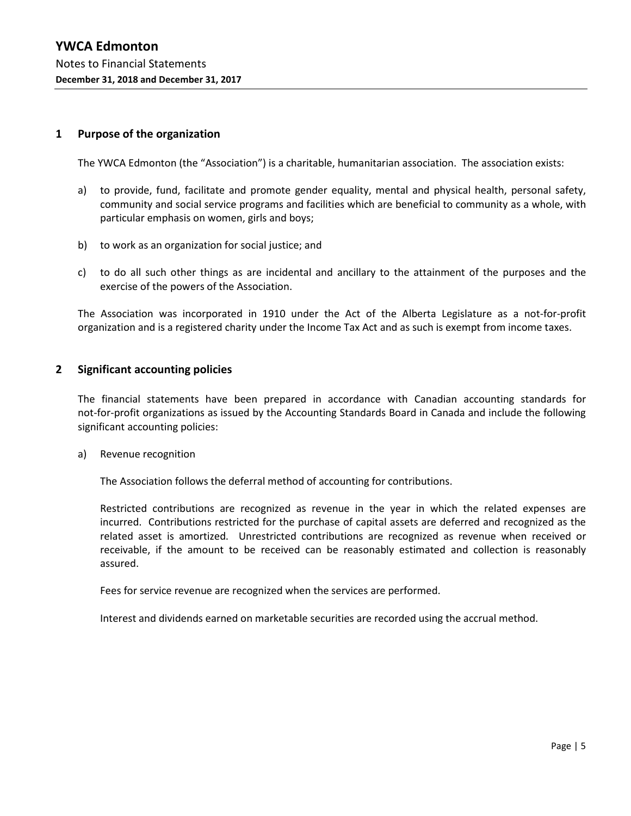#### **1 Purpose of the organization**

The YWCA Edmonton (the "Association") is a charitable, humanitarian association. The association exists:

- a) to provide, fund, facilitate and promote gender equality, mental and physical health, personal safety, community and social service programs and facilities which are beneficial to community as a whole, with particular emphasis on women, girls and boys;
- b) to work as an organization for social justice; and
- c) to do all such other things as are incidental and ancillary to the attainment of the purposes and the exercise of the powers of the Association.

The Association was incorporated in 1910 under the Act of the Alberta Legislature as a not-for-profit organization and is a registered charity under the Income Tax Act and as such is exempt from income taxes.

#### **2 Significant accounting policies**

The financial statements have been prepared in accordance with Canadian accounting standards for not-for-profit organizations as issued by the Accounting Standards Board in Canada and include the following significant accounting policies:

a) Revenue recognition

The Association follows the deferral method of accounting for contributions.

Restricted contributions are recognized as revenue in the year in which the related expenses are incurred. Contributions restricted for the purchase of capital assets are deferred and recognized as the related asset is amortized. Unrestricted contributions are recognized as revenue when received or receivable, if the amount to be received can be reasonably estimated and collection is reasonably assured.

Fees for service revenue are recognized when the services are performed.

Interest and dividends earned on marketable securities are recorded using the accrual method.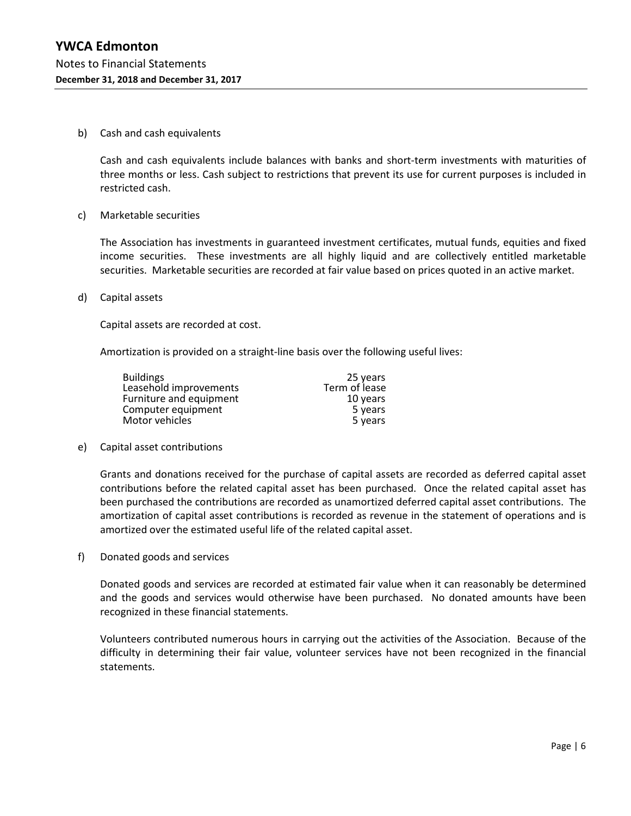#### b) Cash and cash equivalents

Cash and cash equivalents include balances with banks and short-term investments with maturities of three months or less. Cash subject to restrictions that prevent its use for current purposes is included in restricted cash.

#### c) Marketable securities

The Association has investments in guaranteed investment certificates, mutual funds, equities and fixed income securities. These investments are all highly liquid and are collectively entitled marketable securities. Marketable securities are recorded at fair value based on prices quoted in an active market.

#### d) Capital assets

Capital assets are recorded at cost.

Amortization is provided on a straight-line basis over the following useful lives:

| <b>Buildings</b>        | 25 years      |
|-------------------------|---------------|
| Leasehold improvements  | Term of lease |
| Furniture and equipment | 10 years      |
| Computer equipment      | 5 years       |
| Motor vehicles          | 5 years       |

e) Capital asset contributions

Grants and donations received for the purchase of capital assets are recorded as deferred capital asset contributions before the related capital asset has been purchased. Once the related capital asset has been purchased the contributions are recorded as unamortized deferred capital asset contributions. The amortization of capital asset contributions is recorded as revenue in the statement of operations and is amortized over the estimated useful life of the related capital asset.

f) Donated goods and services

Donated goods and services are recorded at estimated fair value when it can reasonably be determined and the goods and services would otherwise have been purchased. No donated amounts have been recognized in these financial statements.

Volunteers contributed numerous hours in carrying out the activities of the Association. Because of the difficulty in determining their fair value, volunteer services have not been recognized in the financial statements.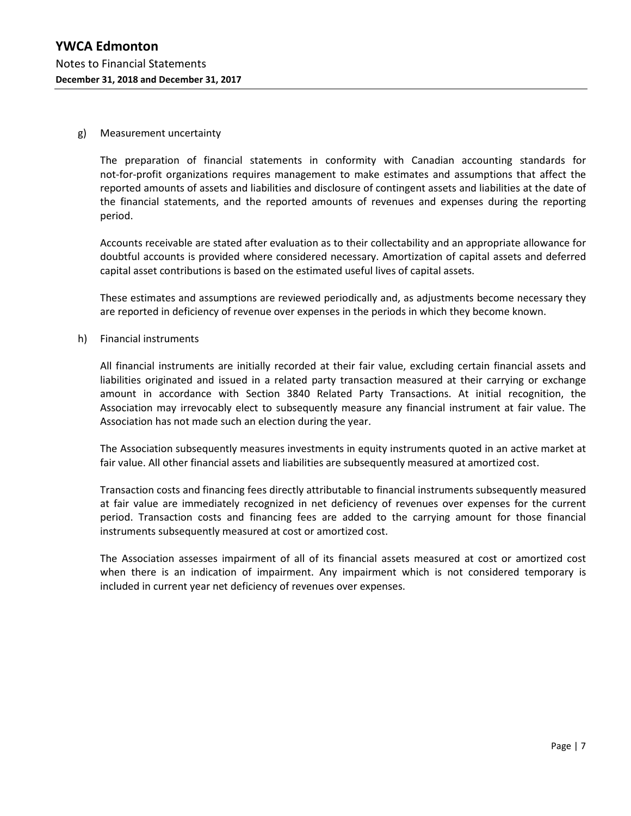#### g) Measurement uncertainty

The preparation of financial statements in conformity with Canadian accounting standards for not-for-profit organizations requires management to make estimates and assumptions that affect the reported amounts of assets and liabilities and disclosure of contingent assets and liabilities at the date of the financial statements, and the reported amounts of revenues and expenses during the reporting period.

Accounts receivable are stated after evaluation as to their collectability and an appropriate allowance for doubtful accounts is provided where considered necessary. Amortization of capital assets and deferred capital asset contributions is based on the estimated useful lives of capital assets.

These estimates and assumptions are reviewed periodically and, as adjustments become necessary they are reported in deficiency of revenue over expenses in the periods in which they become known.

h) Financial instruments

All financial instruments are initially recorded at their fair value, excluding certain financial assets and liabilities originated and issued in a related party transaction measured at their carrying or exchange amount in accordance with Section 3840 Related Party Transactions. At initial recognition, the Association may irrevocably elect to subsequently measure any financial instrument at fair value. The Association has not made such an election during the year.

The Association subsequently measures investments in equity instruments quoted in an active market at fair value. All other financial assets and liabilities are subsequently measured at amortized cost.

Transaction costs and financing fees directly attributable to financial instruments subsequently measured at fair value are immediately recognized in net deficiency of revenues over expenses for the current period. Transaction costs and financing fees are added to the carrying amount for those financial instruments subsequently measured at cost or amortized cost.

The Association assesses impairment of all of its financial assets measured at cost or amortized cost when there is an indication of impairment. Any impairment which is not considered temporary is included in current year net deficiency of revenues over expenses.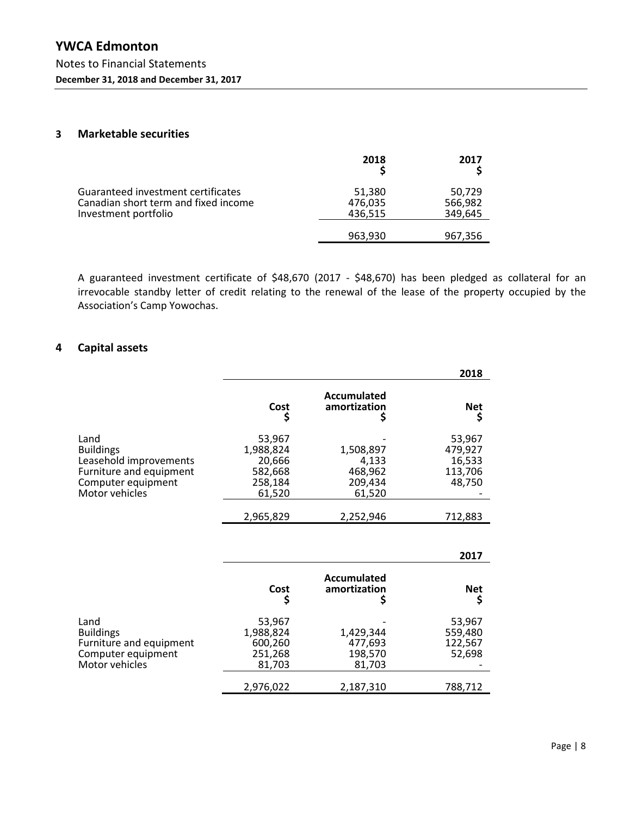#### **3 Marketable securities**

|                                                                                                    | 2018                         | 2017                         |
|----------------------------------------------------------------------------------------------------|------------------------------|------------------------------|
| Guaranteed investment certificates<br>Canadian short term and fixed income<br>Investment portfolio | 51,380<br>476,035<br>436,515 | 50,729<br>566,982<br>349,645 |
|                                                                                                    | 963,930                      | 967,356                      |

A guaranteed investment certificate of \$48,670 (2017 - \$48,670) has been pledged as collateral for an irrevocable standby letter of credit relating to the renewal of the lease of the property occupied by the Association's Camp Yowochas.

### **4 Capital assets**

|                                                                                                                       |                                                                            |                                                                 | 2018                                                        |
|-----------------------------------------------------------------------------------------------------------------------|----------------------------------------------------------------------------|-----------------------------------------------------------------|-------------------------------------------------------------|
|                                                                                                                       | Cost                                                                       | Accumulated<br>amortization                                     | <b>Net</b>                                                  |
| Land<br><b>Buildings</b><br>Leasehold improvements<br>Furniture and equipment<br>Computer equipment<br>Motor vehicles | 53,967<br>1,988,824<br>20,666<br>582,668<br>258,184<br>61,520<br>2,965,829 | 1,508,897<br>4,133<br>468,962<br>209,434<br>61,520<br>2,252,946 | 53,967<br>479,927<br>16,533<br>113,706<br>48,750<br>712,883 |

|                                                                                             |                                                     |                                           | 2017                                   |
|---------------------------------------------------------------------------------------------|-----------------------------------------------------|-------------------------------------------|----------------------------------------|
|                                                                                             | Cost                                                | Accumulated<br>amortization               | <b>Net</b>                             |
| Land<br><b>Buildings</b><br>Furniture and equipment<br>Computer equipment<br>Motor vehicles | 53,967<br>1,988,824<br>600,260<br>251,268<br>81,703 | 1,429,344<br>477,693<br>198,570<br>81,703 | 53,967<br>559,480<br>122,567<br>52,698 |
|                                                                                             | 2,976,022                                           | 2,187,310                                 | 788,712                                |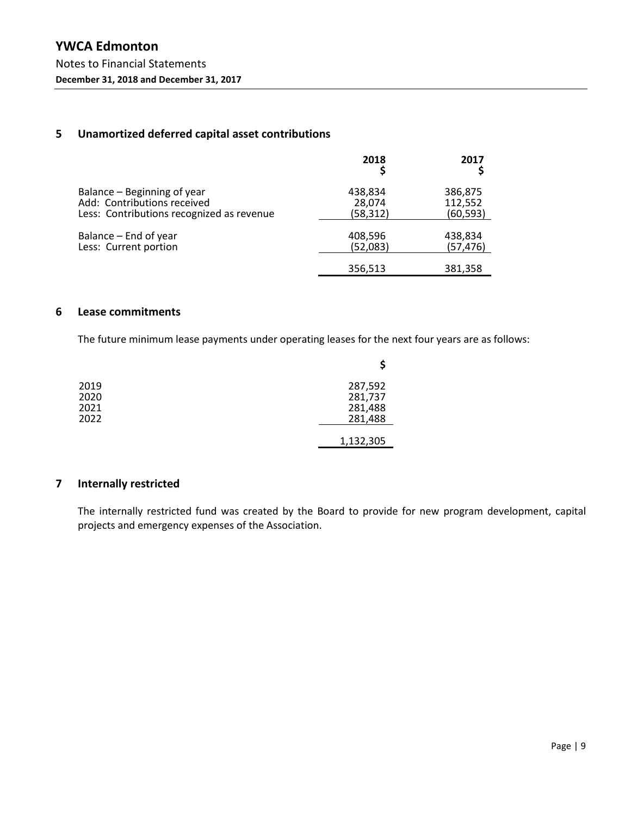### **5 Unamortized deferred capital asset contributions**

|                                           | 2018      | 2017     |
|-------------------------------------------|-----------|----------|
| Balance – Beginning of year               | 438,834   | 386,875  |
| Add: Contributions received               | 28,074    | 112,552  |
| Less: Contributions recognized as revenue | (58, 312) | (60,593) |
| Balance – End of year                     | 408,596   | 438,834  |
| Less: Current portion                     | (52,083)  | (57,476) |
|                                           | 356,513   | 381,358  |

#### **6 Lease commitments**

The future minimum lease payments under operating leases for the next four years are as follows:

| 2019 | 287,592   |
|------|-----------|
| 2020 | 281,737   |
| 2021 | 281,488   |
| 2022 | 281,488   |
|      |           |
|      | 1,132,305 |

### **7 Internally restricted**

The internally restricted fund was created by the Board to provide for new program development, capital projects and emergency expenses of the Association.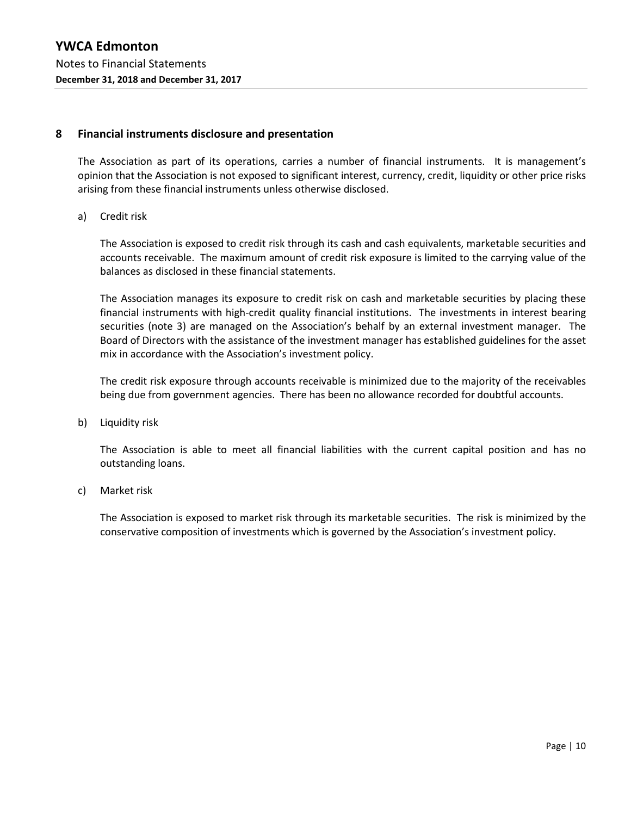#### **8 Financial instruments disclosure and presentation**

The Association as part of its operations, carries a number of financial instruments. It is management's opinion that the Association is not exposed to significant interest, currency, credit, liquidity or other price risks arising from these financial instruments unless otherwise disclosed.

a) Credit risk

The Association is exposed to credit risk through its cash and cash equivalents, marketable securities and accounts receivable. The maximum amount of credit risk exposure is limited to the carrying value of the balances as disclosed in these financial statements.

The Association manages its exposure to credit risk on cash and marketable securities by placing these financial instruments with high-credit quality financial institutions. The investments in interest bearing securities (note 3) are managed on the Association's behalf by an external investment manager. The Board of Directors with the assistance of the investment manager has established guidelines for the asset mix in accordance with the Association's investment policy.

The credit risk exposure through accounts receivable is minimized due to the majority of the receivables being due from government agencies. There has been no allowance recorded for doubtful accounts.

b) Liquidity risk

The Association is able to meet all financial liabilities with the current capital position and has no outstanding loans.

c) Market risk

The Association is exposed to market risk through its marketable securities. The risk is minimized by the conservative composition of investments which is governed by the Association's investment policy.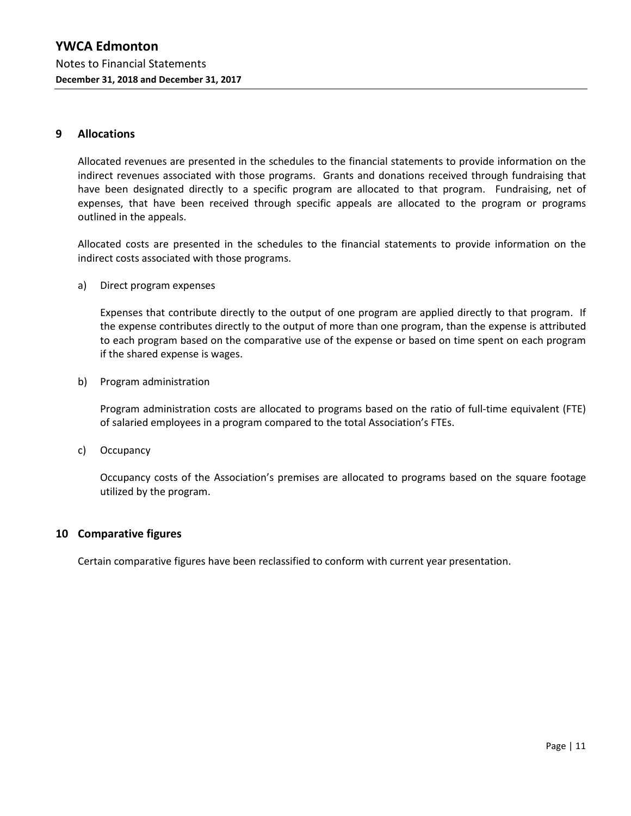#### **9 Allocations**

Allocated revenues are presented in the schedules to the financial statements to provide information on the indirect revenues associated with those programs. Grants and donations received through fundraising that have been designated directly to a specific program are allocated to that program. Fundraising, net of expenses, that have been received through specific appeals are allocated to the program or programs outlined in the appeals.

Allocated costs are presented in the schedules to the financial statements to provide information on the indirect costs associated with those programs.

a) Direct program expenses

Expenses that contribute directly to the output of one program are applied directly to that program. If the expense contributes directly to the output of more than one program, than the expense is attributed to each program based on the comparative use of the expense or based on time spent on each program if the shared expense is wages.

b) Program administration

Program administration costs are allocated to programs based on the ratio of full-time equivalent (FTE) of salaried employees in a program compared to the total Association's FTEs.

c) Occupancy

Occupancy costs of the Association's premises are allocated to programs based on the square footage utilized by the program.

#### **10 Comparative figures**

Certain comparative figures have been reclassified to conform with current year presentation.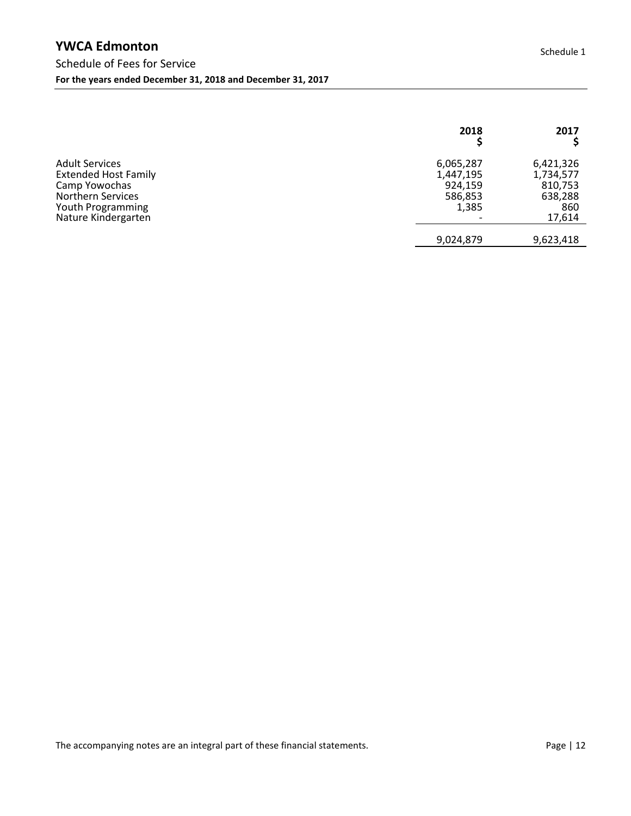|                                                                                                                                 | 2018                                                  | 2017                                                          |
|---------------------------------------------------------------------------------------------------------------------------------|-------------------------------------------------------|---------------------------------------------------------------|
| Adult Services<br><b>Extended Host Family</b><br>Camp Yowochas<br>Northern Services<br>Youth Programming<br>Nature Kindergarten | 6,065,287<br>1,447,195<br>924,159<br>586,853<br>1,385 | 6,421,326<br>1,734,577<br>810,753<br>638,288<br>860<br>17,614 |
|                                                                                                                                 | 9,024,879                                             | 9,623,418                                                     |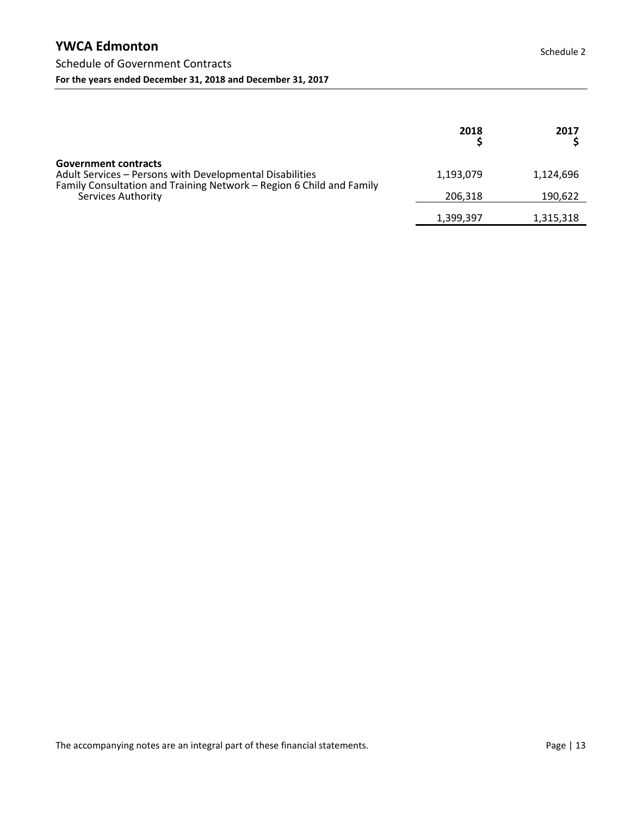|                                                                                                                                                                                       | 2018      | 2017      |
|---------------------------------------------------------------------------------------------------------------------------------------------------------------------------------------|-----------|-----------|
| <b>Government contracts</b><br>Adult Services - Persons with Developmental Disabilities<br>Family Consultation and Training Network – Region 6 Child and Family<br>Services Authority | 1,193,079 | 1,124,696 |
|                                                                                                                                                                                       | 206.318   | 190,622   |
|                                                                                                                                                                                       | 1,399,397 | 1,315,318 |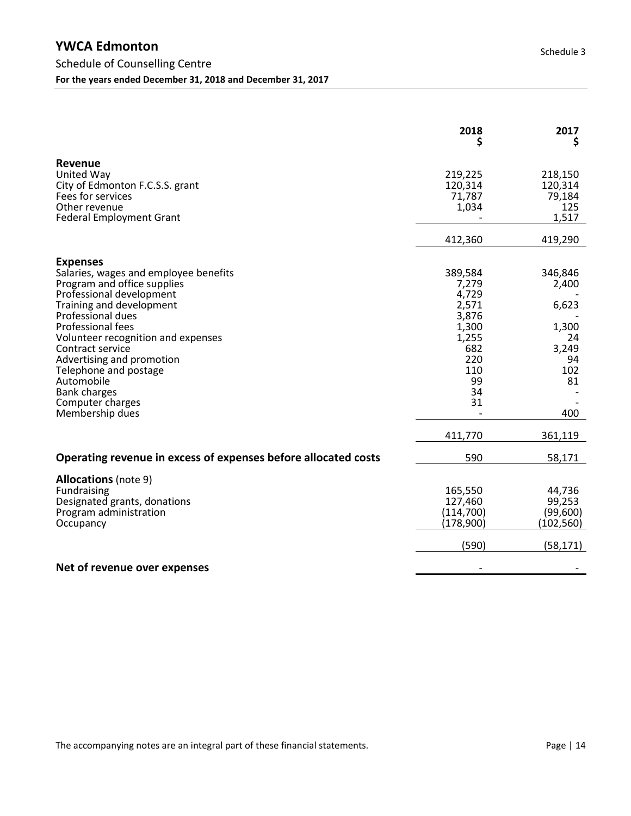|                                                                                                                                                                                                                                                                                                                                                                                       | 2018                                                                                                 | 2017<br>Ş                                                                   |
|---------------------------------------------------------------------------------------------------------------------------------------------------------------------------------------------------------------------------------------------------------------------------------------------------------------------------------------------------------------------------------------|------------------------------------------------------------------------------------------------------|-----------------------------------------------------------------------------|
| Revenue<br>United Way<br>City of Edmonton F.C.S.S. grant<br>Fees for services<br>Other revenue<br><b>Federal Employment Grant</b>                                                                                                                                                                                                                                                     | 219,225<br>120,314<br>71,787<br>1,034                                                                | 218,150<br>120,314<br>79,184<br>125<br>1,517                                |
|                                                                                                                                                                                                                                                                                                                                                                                       | 412,360                                                                                              | 419,290                                                                     |
| <b>Expenses</b><br>Salaries, wages and employee benefits<br>Program and office supplies<br>Professional development<br>Training and development<br>Professional dues<br>Professional fees<br>Volunteer recognition and expenses<br>Contract service<br>Advertising and promotion<br>Telephone and postage<br>Automobile<br><b>Bank charges</b><br>Computer charges<br>Membership dues | 389,584<br>7,279<br>4,729<br>2,571<br>3,876<br>1,300<br>1,255<br>682<br>220<br>110<br>99<br>34<br>31 | 346,846<br>2,400<br>6,623<br>1,300<br>24<br>3,249<br>94<br>102<br>81<br>400 |
|                                                                                                                                                                                                                                                                                                                                                                                       | 411,770                                                                                              | 361,119                                                                     |
| Operating revenue in excess of expenses before allocated costs                                                                                                                                                                                                                                                                                                                        | 590                                                                                                  | 58,171                                                                      |
| <b>Allocations</b> (note 9)<br>Fundraising<br>Designated grants, donations<br>Program administration<br>Occupancy                                                                                                                                                                                                                                                                     | 165,550<br>127,460<br>(114, 700)<br>(178,900)<br>(590)                                               | 44,736<br>99,253<br>(99,600)<br>(102, 560)<br>(58, 171)                     |
| Net of revenue over expenses                                                                                                                                                                                                                                                                                                                                                          |                                                                                                      |                                                                             |